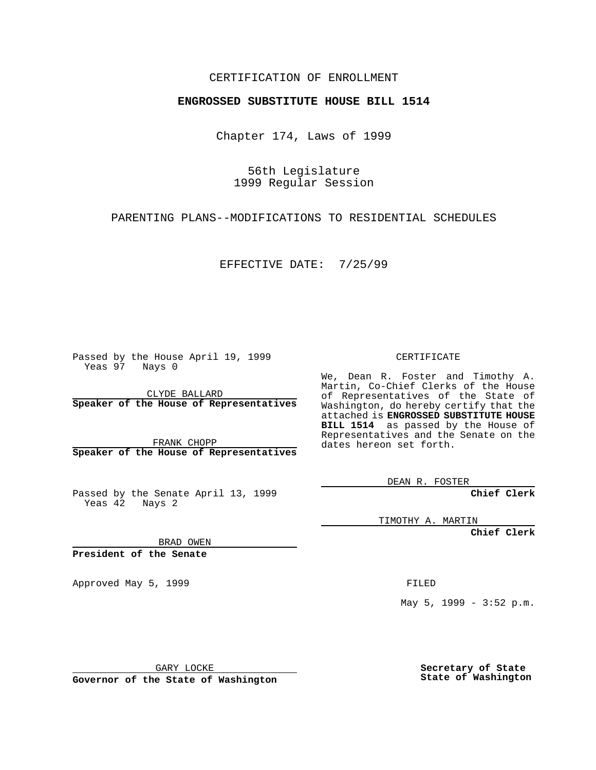## CERTIFICATION OF ENROLLMENT

## **ENGROSSED SUBSTITUTE HOUSE BILL 1514**

Chapter 174, Laws of 1999

56th Legislature 1999 Regular Session

PARENTING PLANS--MODIFICATIONS TO RESIDENTIAL SCHEDULES

EFFECTIVE DATE: 7/25/99

Passed by the House April 19, 1999 Yeas 97 Nays 0

CLYDE BALLARD **Speaker of the House of Representatives**

FRANK CHOPP **Speaker of the House of Representatives**

Passed by the Senate April 13, 1999 Yeas 42 Nays 2

CERTIFICATE

We, Dean R. Foster and Timothy A. Martin, Co-Chief Clerks of the House of Representatives of the State of Washington, do hereby certify that the attached is **ENGROSSED SUBSTITUTE HOUSE BILL 1514** as passed by the House of Representatives and the Senate on the dates hereon set forth.

DEAN R. FOSTER

**Chief Clerk**

TIMOTHY A. MARTIN

**Chief Clerk**

BRAD OWEN

**President of the Senate**

Approved May 5, 1999 **FILED** 

May 5, 1999 - 3:52 p.m.

GARY LOCKE

**Governor of the State of Washington**

**Secretary of State State of Washington**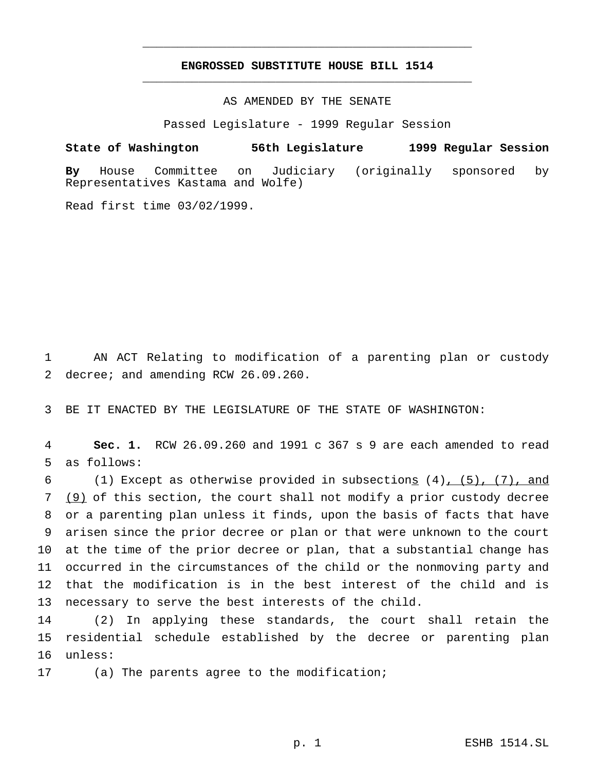## **ENGROSSED SUBSTITUTE HOUSE BILL 1514** \_\_\_\_\_\_\_\_\_\_\_\_\_\_\_\_\_\_\_\_\_\_\_\_\_\_\_\_\_\_\_\_\_\_\_\_\_\_\_\_\_\_\_\_\_\_\_

\_\_\_\_\_\_\_\_\_\_\_\_\_\_\_\_\_\_\_\_\_\_\_\_\_\_\_\_\_\_\_\_\_\_\_\_\_\_\_\_\_\_\_\_\_\_\_

AS AMENDED BY THE SENATE

Passed Legislature - 1999 Regular Session

**State of Washington 56th Legislature 1999 Regular Session**

**By** House Committee on Judiciary (originally sponsored by Representatives Kastama and Wolfe)

Read first time 03/02/1999.

1 AN ACT Relating to modification of a parenting plan or custody 2 decree; and amending RCW 26.09.260.

3 BE IT ENACTED BY THE LEGISLATURE OF THE STATE OF WASHINGTON:

4 **Sec. 1.** RCW 26.09.260 and 1991 c 367 s 9 are each amended to read 5 as follows:

6 (1) Except as otherwise provided in subsections  $(4)$ ,  $(5)$ ,  $(7)$ , and (9) of this section, the court shall not modify a prior custody decree or a parenting plan unless it finds, upon the basis of facts that have arisen since the prior decree or plan or that were unknown to the court at the time of the prior decree or plan, that a substantial change has occurred in the circumstances of the child or the nonmoving party and that the modification is in the best interest of the child and is necessary to serve the best interests of the child.

14 (2) In applying these standards, the court shall retain the 15 residential schedule established by the decree or parenting plan 16 unless:

17 (a) The parents agree to the modification;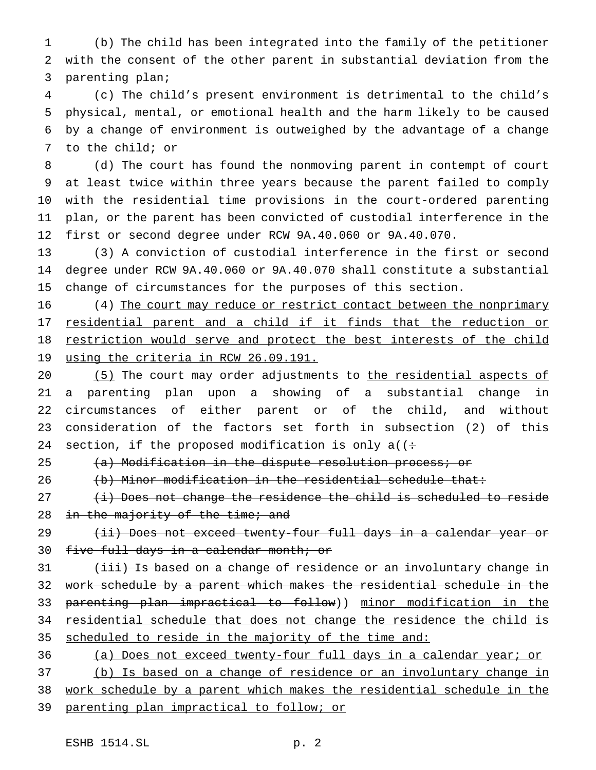(b) The child has been integrated into the family of the petitioner with the consent of the other parent in substantial deviation from the parenting plan;

 (c) The child's present environment is detrimental to the child's physical, mental, or emotional health and the harm likely to be caused by a change of environment is outweighed by the advantage of a change to the child; or

 (d) The court has found the nonmoving parent in contempt of court at least twice within three years because the parent failed to comply with the residential time provisions in the court-ordered parenting plan, or the parent has been convicted of custodial interference in the first or second degree under RCW 9A.40.060 or 9A.40.070.

 (3) A conviction of custodial interference in the first or second degree under RCW 9A.40.060 or 9A.40.070 shall constitute a substantial change of circumstances for the purposes of this section.

16 (4) The court may reduce or restrict contact between the nonprimary 17 residential parent and a child if it finds that the reduction or 18 restriction would serve and protect the best interests of the child 19 using the criteria in RCW 26.09.191.

20 (5) The court may order adjustments to the residential aspects of a parenting plan upon a showing of a substantial change in circumstances of either parent or of the child, and without consideration of the factors set forth in subsection (2) of this 24 section, if the proposed modification is only a( $($ :

25 (a) Modification in the dispute resolution process; or

(b) Minor modification in the residential schedule that:

  $(i)$  Does not change the residence the child is scheduled to reside 28 in the majority of the time; and

29 (ii) Does not exceed twenty-four full days in a calendar year or 30 five full days in a calendar month; or

31 (iii) Is based on a change of residence or an involuntary change in work schedule by a parent which makes the residential schedule in the parenting plan impractical to follow)) minor modification in the residential schedule that does not change the residence the child is scheduled to reside in the majority of the time and:

 (a) Does not exceed twenty-four full days in a calendar year; or (b) Is based on a change of residence or an involuntary change in work schedule by a parent which makes the residential schedule in the parenting plan impractical to follow; or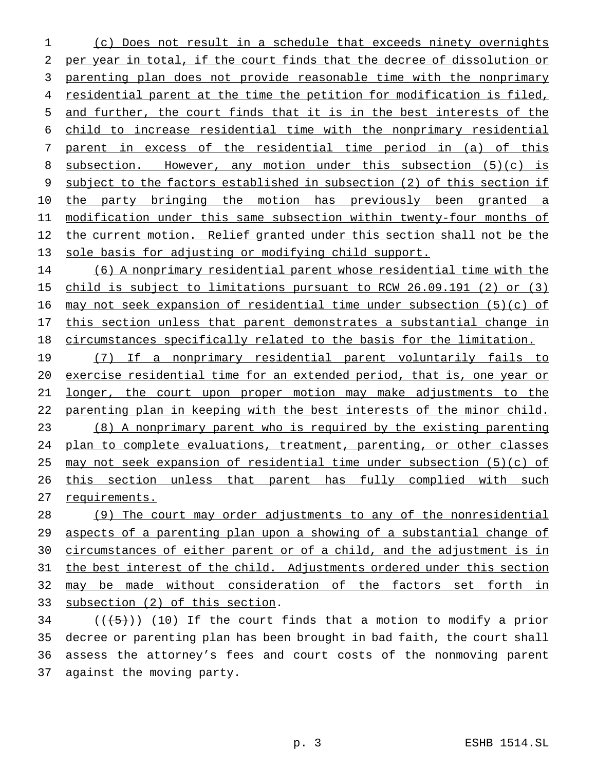(c) Does not result in a schedule that exceeds ninety overnights per year in total, if the court finds that the decree of dissolution or parenting plan does not provide reasonable time with the nonprimary residential parent at the time the petition for modification is filed, and further, the court finds that it is in the best interests of the child to increase residential time with the nonprimary residential parent in excess of the residential time period in (a) of this subsection. However, any motion under this subsection (5)(c) is subject to the factors established in subsection (2) of this section if 10 the party bringing the motion has previously been granted a modification under this same subsection within twenty-four months of 12 the current motion. Relief granted under this section shall not be the sole basis for adjusting or modifying child support.

 (6) A nonprimary residential parent whose residential time with the child is subject to limitations pursuant to RCW 26.09.191 (2) or (3) may not seek expansion of residential time under subsection (5)(c) of 17 this section unless that parent demonstrates a substantial change in circumstances specifically related to the basis for the limitation.

 (7) If a nonprimary residential parent voluntarily fails to exercise residential time for an extended period, that is, one year or longer, the court upon proper motion may make adjustments to the parenting plan in keeping with the best interests of the minor child. (8) A nonprimary parent who is required by the existing parenting plan to complete evaluations, treatment, parenting, or other classes may not seek expansion of residential time under subsection (5)(c) of 26 this section unless that parent has fully complied with such requirements.

 (9) The court may order adjustments to any of the nonresidential aspects of a parenting plan upon a showing of a substantial change of 30 circumstances of either parent or of a child, and the adjustment is in the best interest of the child. Adjustments ordered under this section 32 may be made without consideration of the factors set forth in subsection (2) of this section.

 (( $(5)$ )) (10) If the court finds that a motion to modify a prior decree or parenting plan has been brought in bad faith, the court shall assess the attorney's fees and court costs of the nonmoving parent against the moving party.